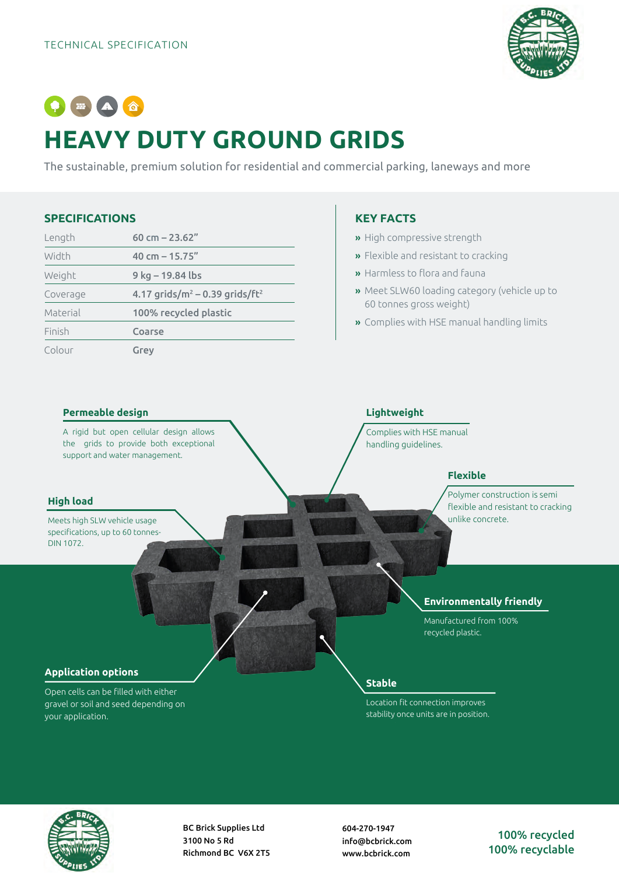

# $\bullet \bullet \bullet \bullet$ **HEAVY DUTY GROUND GRIDS**

The sustainable, premium solution for residential and commercial parking, laneways and more

## **SPECIFICATIONS**

| Length   | 60 cm $- 23.62$ "                              |  |  |
|----------|------------------------------------------------|--|--|
| Width    | 40 cm $-$ 15.75"                               |  |  |
| Weight   | 9 kg – 19.84 lbs                               |  |  |
| Coverage | 4.17 grids/ $m^2$ – 0.39 grids/ft <sup>2</sup> |  |  |
| Material | 100% recycled plastic                          |  |  |
| Finish   | Coarse                                         |  |  |
| Colour   | Grey                                           |  |  |

# **KEY FACTS**

- » High compressive strength
- » Flexible and resistant to cracking
- » Harmless to flora and fauna
- » Meet SLW60 loading category (vehicle up to 60 tonnes gross weight)
- » Complies with HSE manual handling limits

#### **Permeable design**

A rigid but open cellular design allows the grids to provide both exceptional support and water management.

#### **High load**

Meets high SLW vehicle usage specifications, up to 60 tonnes-DIN 1072.

**Application options**

your application.

Open cells can be filled with either gravel or soil and seed depending on

# **Lightweight**

Complies with HSE manual handling guidelines.

## **Flexible**

Polymer construction is semi flexible and resistant to cracking unlike concrete.

#### **Environmentally friendly**

Manufactured from 100% recycled plastic.

# **Stable**

Location fit connection improves stability once units are in position.



BC Brick Supplies Ltd 3100 No 5 Rd Richmond BC V6X 2T5 604-270-1947 info@bcbrick.com www.bcbrick.com

100% recycled 100% recyclable